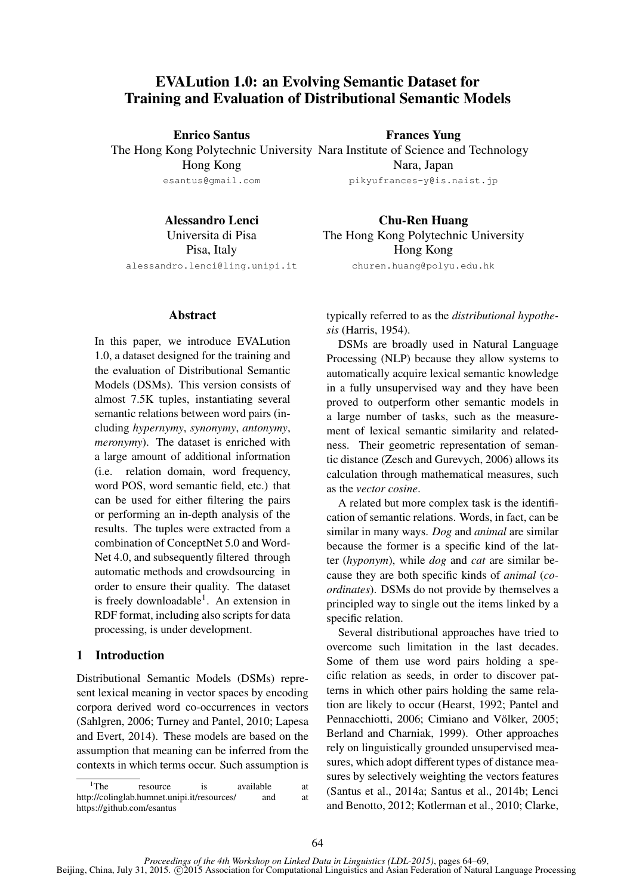# EVALution 1.0: an Evolving Semantic Dataset for Training and Evaluation of Distributional Semantic Models

Enrico Santus

Frances Yung

The Hong Kong Polytechnic University Nara Institute of Science and Technology Hong Kong esantus@gmail.com Nara, Japan pikyufrances-y@is.naist.jp

Alessandro Lenci Universita di Pisa Pisa, Italy alessandro.lenci@ling.unipi.it

Chu-Ren Huang The Hong Kong Polytechnic University Hong Kong churen.huang@polyu.edu.hk

### Abstract

In this paper, we introduce EVALution 1.0, a dataset designed for the training and the evaluation of Distributional Semantic Models (DSMs). This version consists of almost 7.5K tuples, instantiating several semantic relations between word pairs (including *hypernymy*, *synonymy*, *antonymy*, *meronymy*). The dataset is enriched with a large amount of additional information (i.e. relation domain, word frequency, word POS, word semantic field, etc.) that can be used for either filtering the pairs or performing an in-depth analysis of the results. The tuples were extracted from a combination of ConceptNet 5.0 and Word-Net 4.0, and subsequently filtered through automatic methods and crowdsourcing in order to ensure their quality. The dataset is freely downloadable<sup>1</sup>. An extension in RDF format, including also scripts for data processing, is under development.

## 1 Introduction

Distributional Semantic Models (DSMs) represent lexical meaning in vector spaces by encoding corpora derived word co-occurrences in vectors (Sahlgren, 2006; Turney and Pantel, 2010; Lapesa and Evert, 2014). These models are based on the assumption that meaning can be inferred from the contexts in which terms occur. Such assumption is typically referred to as the *distributional hypothesis* (Harris, 1954).

DSMs are broadly used in Natural Language Processing (NLP) because they allow systems to automatically acquire lexical semantic knowledge in a fully unsupervised way and they have been proved to outperform other semantic models in a large number of tasks, such as the measurement of lexical semantic similarity and relatedness. Their geometric representation of semantic distance (Zesch and Gurevych, 2006) allows its calculation through mathematical measures, such as the *vector cosine*.

A related but more complex task is the identification of semantic relations. Words, in fact, can be similar in many ways. *Dog* and *animal* are similar because the former is a specific kind of the latter (*hyponym*), while *dog* and *cat* are similar because they are both specific kinds of *animal* (*coordinates*). DSMs do not provide by themselves a principled way to single out the items linked by a specific relation.

Several distributional approaches have tried to overcome such limitation in the last decades. Some of them use word pairs holding a specific relation as seeds, in order to discover patterns in which other pairs holding the same relation are likely to occur (Hearst, 1992; Pantel and Pennacchiotti, 2006; Cimiano and Völker, 2005; Berland and Charniak, 1999). Other approaches rely on linguistically grounded unsupervised measures, which adopt different types of distance measures by selectively weighting the vectors features (Santus et al., 2014a; Santus et al., 2014b; Lenci and Benotto, 2012; Kotlerman et al., 2010; Clarke,

<sup>&</sup>lt;sup>1</sup>The resource is available at http://colinglab.humnet.unipi.it/resources/ and at https://github.com/esantus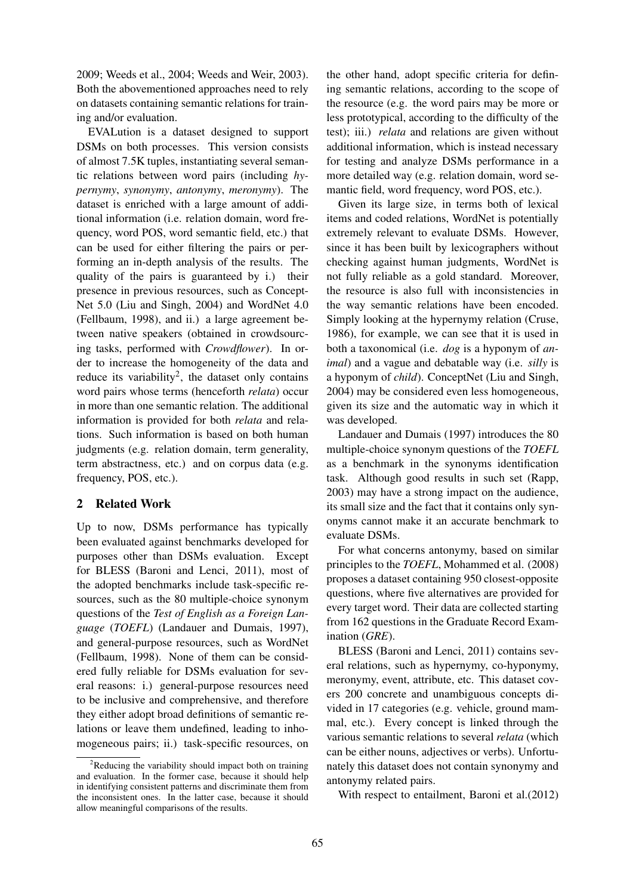2009; Weeds et al., 2004; Weeds and Weir, 2003). Both the abovementioned approaches need to rely on datasets containing semantic relations for training and/or evaluation.

EVALution is a dataset designed to support DSMs on both processes. This version consists of almost 7.5K tuples, instantiating several semantic relations between word pairs (including *hypernymy*, *synonymy*, *antonymy*, *meronymy*). The dataset is enriched with a large amount of additional information (i.e. relation domain, word frequency, word POS, word semantic field, etc.) that can be used for either filtering the pairs or performing an in-depth analysis of the results. The quality of the pairs is guaranteed by i.) their presence in previous resources, such as Concept-Net 5.0 (Liu and Singh, 2004) and WordNet 4.0 (Fellbaum, 1998), and ii.) a large agreement between native speakers (obtained in crowdsourcing tasks, performed with *Crowdflower*). In order to increase the homogeneity of the data and reduce its variability<sup>2</sup>, the dataset only contains word pairs whose terms (henceforth *relata*) occur in more than one semantic relation. The additional information is provided for both *relata* and relations. Such information is based on both human judgments (e.g. relation domain, term generality, term abstractness, etc.) and on corpus data (e.g. frequency, POS, etc.).

## 2 Related Work

Up to now, DSMs performance has typically been evaluated against benchmarks developed for purposes other than DSMs evaluation. Except for BLESS (Baroni and Lenci, 2011), most of the adopted benchmarks include task-specific resources, such as the 80 multiple-choice synonym questions of the *Test of English as a Foreign Language* (*TOEFL*) (Landauer and Dumais, 1997), and general-purpose resources, such as WordNet (Fellbaum, 1998). None of them can be considered fully reliable for DSMs evaluation for several reasons: i.) general-purpose resources need to be inclusive and comprehensive, and therefore they either adopt broad definitions of semantic relations or leave them undefined, leading to inhomogeneous pairs; ii.) task-specific resources, on the other hand, adopt specific criteria for defining semantic relations, according to the scope of the resource (e.g. the word pairs may be more or less prototypical, according to the difficulty of the test); iii.) *relata* and relations are given without additional information, which is instead necessary for testing and analyze DSMs performance in a more detailed way (e.g. relation domain, word semantic field, word frequency, word POS, etc.).

Given its large size, in terms both of lexical items and coded relations, WordNet is potentially extremely relevant to evaluate DSMs. However, since it has been built by lexicographers without checking against human judgments, WordNet is not fully reliable as a gold standard. Moreover, the resource is also full with inconsistencies in the way semantic relations have been encoded. Simply looking at the hypernymy relation (Cruse, 1986), for example, we can see that it is used in both a taxonomical (i.e. *dog* is a hyponym of *animal*) and a vague and debatable way (i.e. *silly* is a hyponym of *child*). ConceptNet (Liu and Singh, 2004) may be considered even less homogeneous, given its size and the automatic way in which it was developed.

Landauer and Dumais (1997) introduces the 80 multiple-choice synonym questions of the *TOEFL* as a benchmark in the synonyms identification task. Although good results in such set (Rapp, 2003) may have a strong impact on the audience, its small size and the fact that it contains only synonyms cannot make it an accurate benchmark to evaluate DSMs.

For what concerns antonymy, based on similar principles to the *TOEFL*, Mohammed et al. (2008) proposes a dataset containing 950 closest-opposite questions, where five alternatives are provided for every target word. Their data are collected starting from 162 questions in the Graduate Record Examination (*GRE*).

BLESS (Baroni and Lenci, 2011) contains several relations, such as hypernymy, co-hyponymy, meronymy, event, attribute, etc. This dataset covers 200 concrete and unambiguous concepts divided in 17 categories (e.g. vehicle, ground mammal, etc.). Every concept is linked through the various semantic relations to several *relata* (which can be either nouns, adjectives or verbs). Unfortunately this dataset does not contain synonymy and antonymy related pairs.

With respect to entailment, Baroni et al.(2012)

 ${}^{2}$ Reducing the variability should impact both on training and evaluation. In the former case, because it should help in identifying consistent patterns and discriminate them from the inconsistent ones. In the latter case, because it should allow meaningful comparisons of the results.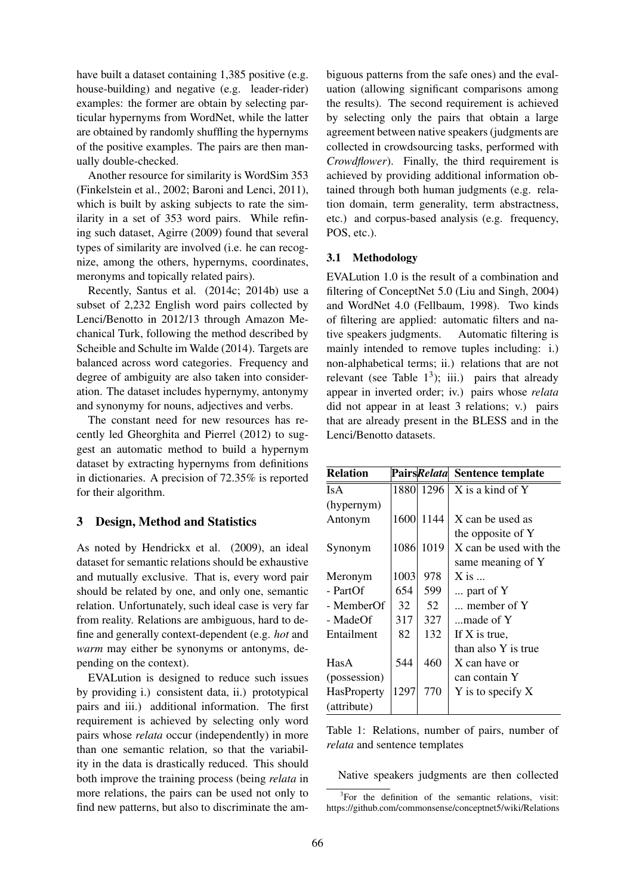have built a dataset containing 1,385 positive (e.g. house-building) and negative (e.g. leader-rider) examples: the former are obtain by selecting particular hypernyms from WordNet, while the latter are obtained by randomly shuffling the hypernyms of the positive examples. The pairs are then manually double-checked.

Another resource for similarity is WordSim 353 (Finkelstein et al., 2002; Baroni and Lenci, 2011), which is built by asking subjects to rate the similarity in a set of 353 word pairs. While refining such dataset, Agirre (2009) found that several types of similarity are involved (i.e. he can recognize, among the others, hypernyms, coordinates, meronyms and topically related pairs).

Recently, Santus et al. (2014c; 2014b) use a subset of 2,232 English word pairs collected by Lenci/Benotto in 2012/13 through Amazon Mechanical Turk, following the method described by Scheible and Schulte im Walde (2014). Targets are balanced across word categories. Frequency and degree of ambiguity are also taken into consideration. The dataset includes hypernymy, antonymy and synonymy for nouns, adjectives and verbs.

The constant need for new resources has recently led Gheorghita and Pierrel (2012) to suggest an automatic method to build a hypernym dataset by extracting hypernyms from definitions in dictionaries. A precision of 72.35% is reported for their algorithm.

## 3 Design, Method and Statistics

As noted by Hendrickx et al. (2009), an ideal dataset for semantic relations should be exhaustive and mutually exclusive. That is, every word pair should be related by one, and only one, semantic relation. Unfortunately, such ideal case is very far from reality. Relations are ambiguous, hard to define and generally context-dependent (e.g. *hot* and *warm* may either be synonyms or antonyms, depending on the context).

EVALution is designed to reduce such issues by providing i.) consistent data, ii.) prototypical pairs and iii.) additional information. The first requirement is achieved by selecting only word pairs whose *relata* occur (independently) in more than one semantic relation, so that the variability in the data is drastically reduced. This should both improve the training process (being *relata* in more relations, the pairs can be used not only to find new patterns, but also to discriminate the ambiguous patterns from the safe ones) and the evaluation (allowing significant comparisons among the results). The second requirement is achieved by selecting only the pairs that obtain a large agreement between native speakers (judgments are collected in crowdsourcing tasks, performed with *Crowdflower*). Finally, the third requirement is achieved by providing additional information obtained through both human judgments (e.g. relation domain, term generality, term abstractness, etc.) and corpus-based analysis (e.g. frequency, POS, etc.).

#### 3.1 Methodology

EVALution 1.0 is the result of a combination and filtering of ConceptNet 5.0 (Liu and Singh, 2004) and WordNet 4.0 (Fellbaum, 1998). Two kinds of filtering are applied: automatic filters and native speakers judgments. Automatic filtering is mainly intended to remove tuples including: i.) non-alphabetical terms; ii.) relations that are not relevant (see Table  $1^3$ ); iii.) pairs that already appear in inverted order; iv.) pairs whose *relata* did not appear in at least 3 relations; v.) pairs that are already present in the BLESS and in the Lenci/Benotto datasets.

| <b>Relation</b> |      |      | PairsRelata Sentence template |
|-----------------|------|------|-------------------------------|
| <b>IsA</b>      | 1880 | 1296 | X is a kind of Y              |
| (hypernym)      |      |      |                               |
| Antonym         | 1600 | 1144 | X can be used as              |
|                 |      |      | the opposite of Y             |
| Synonym         | 1086 | 1019 | X can be used with the        |
|                 |      |      | same meaning of Y             |
| Meronym         | 1003 | 978  | $X$ is $\ldots$               |
| $- PartOf$      | 654  | 599  | part of Y                     |
| - MemberOf      | 32   | 52   | member of Y                   |
| - MadeOf        | 317  | 327  | made of Y                     |
| Entailment      | 82   | 132  | If X is true,                 |
|                 |      |      | than also Y is true           |
| HasA            | 544  | 460  | X can have or                 |
| (possession)    |      |      | can contain Y                 |
| HasProperty     | 1297 | 770  | $Y$ is to specify $X$         |
| (attribute)     |      |      |                               |

Table 1: Relations, number of pairs, number of *relata* and sentence templates

Native speakers judgments are then collected

<sup>&</sup>lt;sup>3</sup>For the definition of the semantic relations, visit: https://github.com/commonsense/conceptnet5/wiki/Relations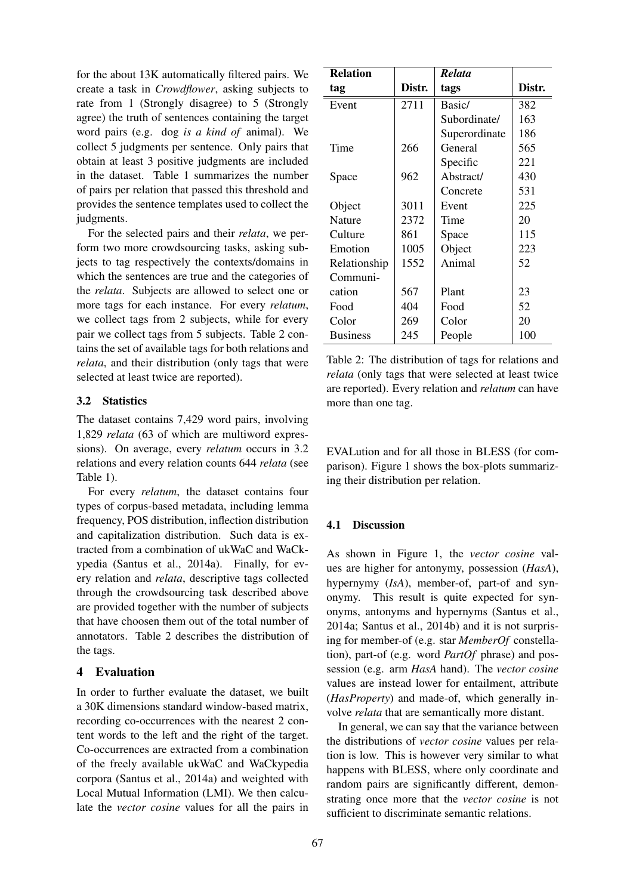for the about 13K automatically filtered pairs. We create a task in *Crowdflower*, asking subjects to rate from 1 (Strongly disagree) to 5 (Strongly agree) the truth of sentences containing the target word pairs (e.g. dog *is a kind of* animal). We collect 5 judgments per sentence. Only pairs that obtain at least 3 positive judgments are included in the dataset. Table 1 summarizes the number of pairs per relation that passed this threshold and provides the sentence templates used to collect the judgments.

For the selected pairs and their *relata*, we perform two more crowdsourcing tasks, asking subjects to tag respectively the contexts/domains in which the sentences are true and the categories of the *relata*. Subjects are allowed to select one or more tags for each instance. For every *relatum*, we collect tags from 2 subjects, while for every pair we collect tags from 5 subjects. Table 2 contains the set of available tags for both relations and *relata*, and their distribution (only tags that were selected at least twice are reported).

### 3.2 Statistics

The dataset contains 7,429 word pairs, involving 1,829 *relata* (63 of which are multiword expressions). On average, every *relatum* occurs in 3.2 relations and every relation counts 644 *relata* (see Table 1).

For every *relatum*, the dataset contains four types of corpus-based metadata, including lemma frequency, POS distribution, inflection distribution and capitalization distribution. Such data is extracted from a combination of ukWaC and WaCkypedia (Santus et al., 2014a). Finally, for every relation and *relata*, descriptive tags collected through the crowdsourcing task described above are provided together with the number of subjects that have choosen them out of the total number of annotators. Table 2 describes the distribution of the tags.

## 4 Evaluation

In order to further evaluate the dataset, we built a 30K dimensions standard window-based matrix, recording co-occurrences with the nearest 2 content words to the left and the right of the target. Co-occurrences are extracted from a combination of the freely available ukWaC and WaCkypedia corpora (Santus et al., 2014a) and weighted with Local Mutual Information (LMI). We then calculate the *vector cosine* values for all the pairs in

| <b>Relation</b> |        | <b>Relata</b> |        |
|-----------------|--------|---------------|--------|
| tag             | Distr. | tags          | Distr. |
| Event           | 2711   | Basic/        | 382    |
|                 |        | Subordinate/  | 163    |
|                 |        | Superordinate | 186    |
| Time            | 266    | General       | 565    |
|                 |        | Specific      | 221    |
| Space           | 962    | Abstract/     | 430    |
|                 |        | Concrete      | 531    |
| Object          | 3011   | Event         | 225    |
| <b>Nature</b>   | 2372   | Time          | 20     |
| Culture         | 861    | Space         | 115    |
| Emotion         | 1005   | Object        | 223    |
| Relationship    | 1552   | Animal        | 52     |
| Communi-        |        |               |        |
| cation          | 567    | Plant         | 23     |
| Food            | 404    | Food          | 52     |
| Color           | 269    | Color         | 20     |
| <b>Business</b> | 245    | People        | 100    |

Table 2: The distribution of tags for relations and *relata* (only tags that were selected at least twice are reported). Every relation and *relatum* can have more than one tag.

EVALution and for all those in BLESS (for comparison). Figure 1 shows the box-plots summarizing their distribution per relation.

## 4.1 Discussion

As shown in Figure 1, the *vector cosine* values are higher for antonymy, possession (*HasA*), hypernymy (*IsA*), member-of, part-of and synonymy. This result is quite expected for synonyms, antonyms and hypernyms (Santus et al., 2014a; Santus et al., 2014b) and it is not surprising for member-of (e.g. star *MemberOf* constellation), part-of (e.g. word *PartOf* phrase) and possession (e.g. arm *HasA* hand). The *vector cosine* values are instead lower for entailment, attribute (*HasProperty*) and made-of, which generally involve *relata* that are semantically more distant.

In general, we can say that the variance between the distributions of *vector cosine* values per relation is low. This is however very similar to what happens with BLESS, where only coordinate and random pairs are significantly different, demonstrating once more that the *vector cosine* is not sufficient to discriminate semantic relations.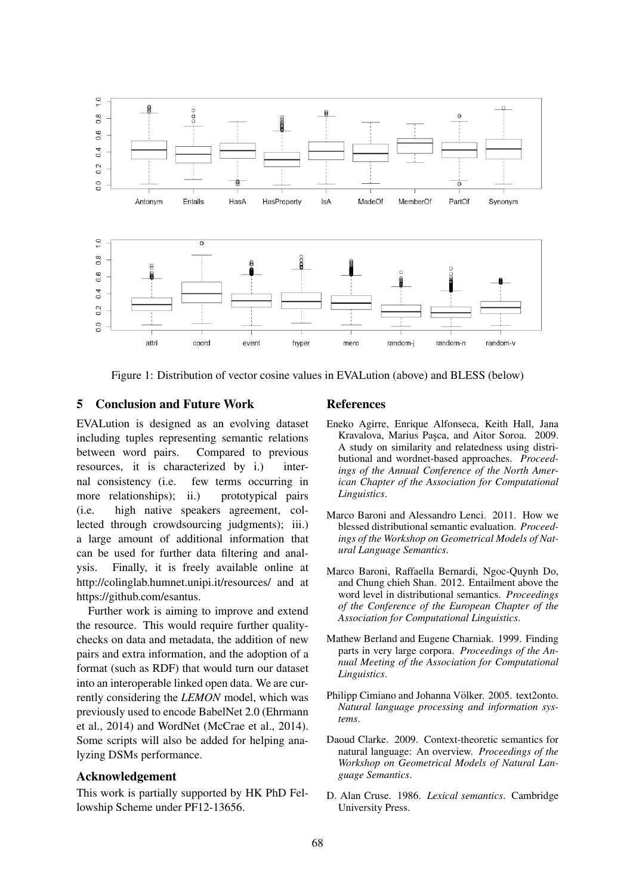

Figure 1: Distribution of vector cosine values in EVALution (above) and BLESS (below)

## 5 Conclusion and Future Work

EVALution is designed as an evolving dataset including tuples representing semantic relations between word pairs. Compared to previous resources, it is characterized by i.) internal consistency (i.e. few terms occurring in more relationships); ii.) prototypical pairs (i.e. high native speakers agreement, collected through crowdsourcing judgments); iii.) a large amount of additional information that can be used for further data filtering and analysis. Finally, it is freely available online at http://colinglab.humnet.unipi.it/resources/ and at https://github.com/esantus.

Further work is aiming to improve and extend the resource. This would require further qualitychecks on data and metadata, the addition of new pairs and extra information, and the adoption of a format (such as RDF) that would turn our dataset into an interoperable linked open data. We are currently considering the *LEMON* model, which was previously used to encode BabelNet 2.0 (Ehrmann et al., 2014) and WordNet (McCrae et al., 2014). Some scripts will also be added for helping analyzing DSMs performance.

## Acknowledgement

This work is partially supported by HK PhD Fellowship Scheme under PF12-13656.

## References

- Eneko Agirre, Enrique Alfonseca, Keith Hall, Jana Kravalova, Marius Pasca, and Aitor Soroa. 2009. A study on similarity and relatedness using distributional and wordnet-based approaches. *Proceedings of the Annual Conference of the North American Chapter of the Association for Computational Linguistics*.
- Marco Baroni and Alessandro Lenci. 2011. How we blessed distributional semantic evaluation. *Proceedings of the Workshop on Geometrical Models of Natural Language Semantics*.
- Marco Baroni, Raffaella Bernardi, Ngoc-Quynh Do, and Chung chieh Shan. 2012. Entailment above the word level in distributional semantics. *Proceedings of the Conference of the European Chapter of the Association for Computational Linguistics*.
- Mathew Berland and Eugene Charniak. 1999. Finding parts in very large corpora. *Proceedings of the Annual Meeting of the Association for Computational Linguistics*.
- Philipp Cimiano and Johanna Völker. 2005. text2onto. *Natural language processing and information systems*.
- Daoud Clarke. 2009. Context-theoretic semantics for natural language: An overview. *Proceedings of the Workshop on Geometrical Models of Natural Language Semantics*.
- D. Alan Cruse. 1986. *Lexical semantics*. Cambridge University Press.